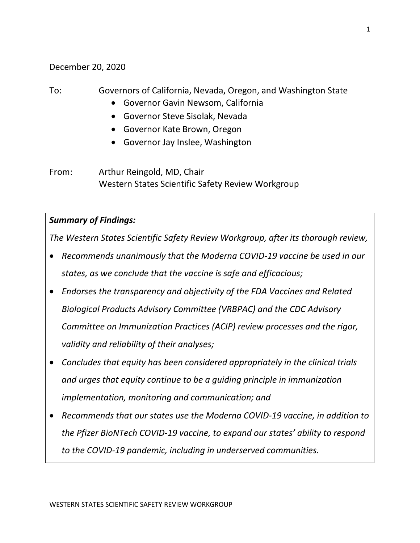December 20, 2020

## To: Governors of California, Nevada, Oregon, and Washington State

- Governor Gavin Newsom, California
- Governor Steve Sisolak, Nevada
- Governor Kate Brown, Oregon
- Governor Jay Inslee, Washington

From: Arthur Reingold, MD, Chair Western States Scientific Safety Review Workgroup

## *Summary of Findings:*

*The Western States Scientific Safety Review Workgroup, after its thorough review,*

- *Recommends unanimously that the Moderna COVID-19 vaccine be used in our states, as we conclude that the vaccine is safe and efficacious;*
- *Endorses the transparency and objectivity of the FDA Vaccines and Related Biological Products Advisory Committee (VRBPAC) and the CDC Advisory Committee on Immunization Practices (ACIP) review processes and the rigor, validity and reliability of their analyses;*
- *Concludes that equity has been considered appropriately in the clinical trials and urges that equity continue to be a guiding principle in immunization implementation, monitoring and communication; and*
- *Recommends that our states use the Moderna COVID-19 vaccine, in addition to the Pfizer BioNTech COVID-19 vaccine, to expand our states' ability to respond to the COVID-19 pandemic, including in underserved communities.*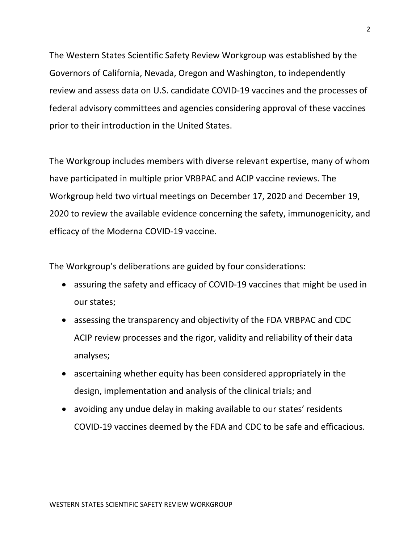The Western States Scientific Safety Review Workgroup was established by the Governors of California, Nevada, Oregon and Washington, to independently review and assess data on U.S. candidate COVID-19 vaccines and the processes of federal advisory committees and agencies considering approval of these vaccines prior to their introduction in the United States.

The Workgroup includes members with diverse relevant expertise, many of whom have participated in multiple prior VRBPAC and ACIP vaccine reviews. The Workgroup held two virtual meetings on December 17, 2020 and December 19, 2020 to review the available evidence concerning the safety, immunogenicity, and efficacy of the Moderna COVID-19 vaccine.

The Workgroup's deliberations are guided by four considerations:

- assuring the safety and efficacy of COVID-19 vaccines that might be used in our states;
- assessing the transparency and objectivity of the FDA VRBPAC and CDC ACIP review processes and the rigor, validity and reliability of their data analyses;
- ascertaining whether equity has been considered appropriately in the design, implementation and analysis of the clinical trials; and
- avoiding any undue delay in making available to our states' residents COVID-19 vaccines deemed by the FDA and CDC to be safe and efficacious.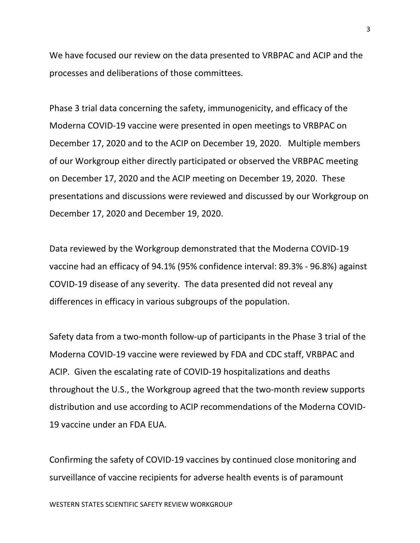We have focused our review on the data presented to VRBPAC and ACIP and the processes and deliberations of those committees.

Phase 3 trial data concerning the safety, immunogenicity, and efficacy of the Moderna COVID-19 vaccine were presented in open meetings to VRBPAC on December 17, 2020 and to the ACIP on December 19, 2020. Multiple members of our Workgroup either directly participated or observed the VRBPAC meeting on December 17, 2020 and the ACIP meeting on December 19, 2020. These presentations and discussions were reviewed and discussed by our Workgroup on December 17, 2020 and December 19, 2020.

Data reviewed by the Workgroup demonstrated that the Moderna COVID-19 vaccine had an efficacy of 94.1% (95% confidence interval: 89.3% - 96.8%) against COVID-19 disease of any severity. The data presented did not reveal any differences in efficacy in various subgroups of the population.

Safety data from a two-month follow-up of participants in the Phase 3 trial of the Moderna COVID-19 vaccine were reviewed by FDA and CDC staff, VRBPAC and ACIP. Given the escalating rate of COVID-19 hospitalizations and deaths throughout the U.S., the Workgroup agreed that the two-month review supports distribution and use according to ACIP recommendations of the Moderna COVID-19 vaccine under an FDA EUA.

Confirming the safety of COVID-19 vaccines by continued close monitoring and surveillance of vaccine recipients for adverse health events is of paramount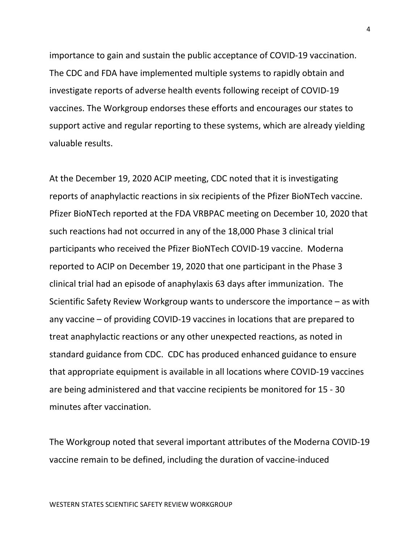importance to gain and sustain the public acceptance of COVID-19 vaccination. The CDC and FDA have implemented multiple systems to rapidly obtain and investigate reports of adverse health events following receipt of COVID-19 vaccines. The Workgroup endorses these efforts and encourages our states to support active and regular reporting to these systems, which are already yielding valuable results.

At the December 19, 2020 ACIP meeting, CDC noted that it is investigating reports of anaphylactic reactions in six recipients of the Pfizer BioNTech vaccine. Pfizer BioNTech reported at the FDA VRBPAC meeting on December 10, 2020 that such reactions had not occurred in any of the 18,000 Phase 3 clinical trial participants who received the Pfizer BioNTech COVID-19 vaccine. Moderna reported to ACIP on December 19, 2020 that one participant in the Phase 3 clinical trial had an episode of anaphylaxis 63 days after immunization. The Scientific Safety Review Workgroup wants to underscore the importance – as with any vaccine – of providing COVID-19 vaccines in locations that are prepared to treat anaphylactic reactions or any other unexpected reactions, as noted in standard guidance from CDC. CDC has produced enhanced guidance to ensure that appropriate equipment is available in all locations where COVID-19 vaccines are being administered and that vaccine recipients be monitored for 15 - 30 minutes after vaccination.

The Workgroup noted that several important attributes of the Moderna COVID-19 vaccine remain to be defined, including the duration of vaccine-induced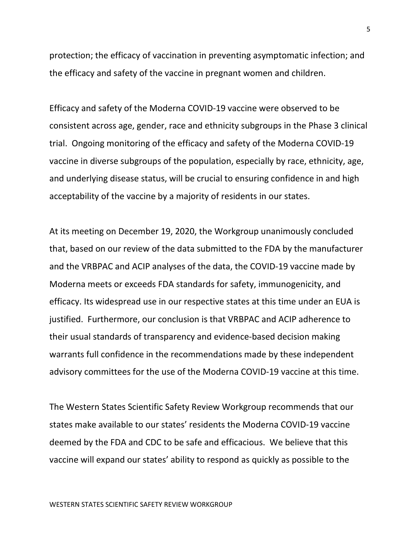protection; the efficacy of vaccination in preventing asymptomatic infection; and the efficacy and safety of the vaccine in pregnant women and children.

Efficacy and safety of the Moderna COVID-19 vaccine were observed to be consistent across age, gender, race and ethnicity subgroups in the Phase 3 clinical trial. Ongoing monitoring of the efficacy and safety of the Moderna COVID-19 vaccine in diverse subgroups of the population, especially by race, ethnicity, age, and underlying disease status, will be crucial to ensuring confidence in and high acceptability of the vaccine by a majority of residents in our states.

At its meeting on December 19, 2020, the Workgroup unanimously concluded that, based on our review of the data submitted to the FDA by the manufacturer and the VRBPAC and ACIP analyses of the data, the COVID-19 vaccine made by Moderna meets or exceeds FDA standards for safety, immunogenicity, and efficacy. Its widespread use in our respective states at this time under an EUA is justified. Furthermore, our conclusion is that VRBPAC and ACIP adherence to their usual standards of transparency and evidence-based decision making warrants full confidence in the recommendations made by these independent advisory committees for the use of the Moderna COVID-19 vaccine at this time.

The Western States Scientific Safety Review Workgroup recommends that our states make available to our states' residents the Moderna COVID-19 vaccine deemed by the FDA and CDC to be safe and efficacious. We believe that this vaccine will expand our states' ability to respond as quickly as possible to the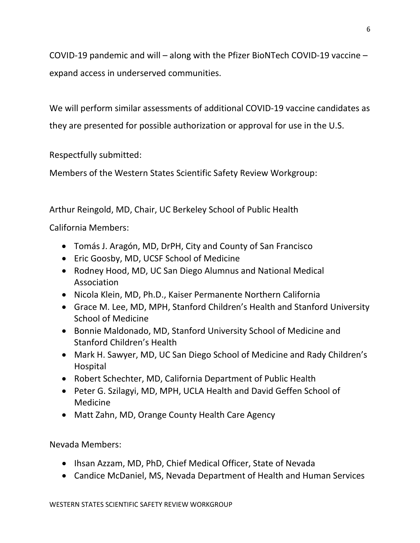COVID-19 pandemic and will – along with the Pfizer BioNTech COVID-19 vaccine – expand access in underserved communities.

We will perform similar assessments of additional COVID-19 vaccine candidates as they are presented for possible authorization or approval for use in the U.S.

Respectfully submitted:

Members of the Western States Scientific Safety Review Workgroup:

Arthur Reingold, MD, Chair, UC Berkeley School of Public Health

California Members:

- Tomás J. Aragón, MD, DrPH, City and County of San Francisco
- Eric Goosby, MD, UCSF School of Medicine
- Rodney Hood, MD, UC San Diego Alumnus and National Medical Association
- Nicola Klein, MD, Ph.D., Kaiser Permanente Northern California
- Grace M. Lee, MD, MPH, Stanford Children's Health and Stanford University School of Medicine
- Bonnie Maldonado, MD, Stanford University School of Medicine and Stanford Children's Health
- Mark H. Sawyer, MD, UC San Diego School of Medicine and Rady Children's Hospital
- Robert Schechter, MD, California Department of Public Health
- Peter G. Szilagyi, MD, MPH, UCLA Health and David Geffen School of Medicine
- Matt Zahn, MD, Orange County Health Care Agency

Nevada Members:

- Ihsan Azzam, MD, PhD, Chief Medical Officer, State of Nevada
- Candice McDaniel, MS, Nevada Department of Health and Human Services